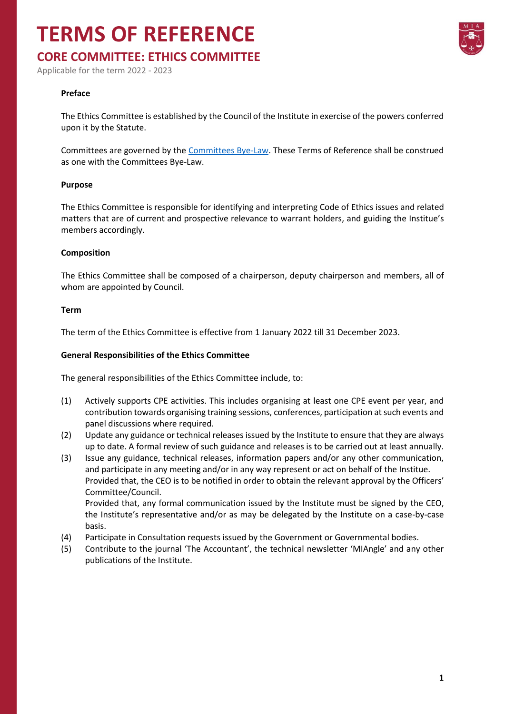# **TERMS OF REFERENCE**

# **CORE COMMITTEE: ETHICS COMMITTEE**

Applicable for the term 2022 - 2023

## **Preface**

The Ethics Committee is established by the Council of the Institute in exercise of the powers conferred upon it by the Statute.

Committees are governed by the [Committees Bye-Law.](https://www.miamalta.org/Statute-and-Bye-Laws) These Terms of Reference shall be construed as one with the Committees Bye-Law.

### **Purpose**

The Ethics Committee is responsible for identifying and interpreting Code of Ethics issues and related matters that are of current and prospective relevance to warrant holders, and guiding the Institue's members accordingly.

### **Composition**

The Ethics Committee shall be composed of a chairperson, deputy chairperson and members, all of whom are appointed by Council.

### **Term**

The term of the Ethics Committee is effective from 1 January 2022 till 31 December 2023.

## **General Responsibilities of the Ethics Committee**

The general responsibilities of the Ethics Committee include, to:

- (1) Actively supports CPE activities. This includes organising at least one CPE event per year, and contribution towards organising training sessions, conferences, participation at such events and panel discussions where required.
- (2) Update any guidance or technical releases issued by the Institute to ensure that they are always up to date. A formal review of such guidance and releases is to be carried out at least annually.
- (3) Issue any guidance, technical releases, information papers and/or any other communication, and participate in any meeting and/or in any way represent or act on behalf of the Institue. Provided that, the CEO is to be notified in order to obtain the relevant approval by the Officers' Committee/Council.

Provided that, any formal communication issued by the Institute must be signed by the CEO, the Institute's representative and/or as may be delegated by the Institute on a case-by-case basis.

- (4) Participate in Consultation requests issued by the Government or Governmental bodies.
- (5) Contribute to the journal 'The Accountant', the technical newsletter 'MIAngle' and any other publications of the Institute.